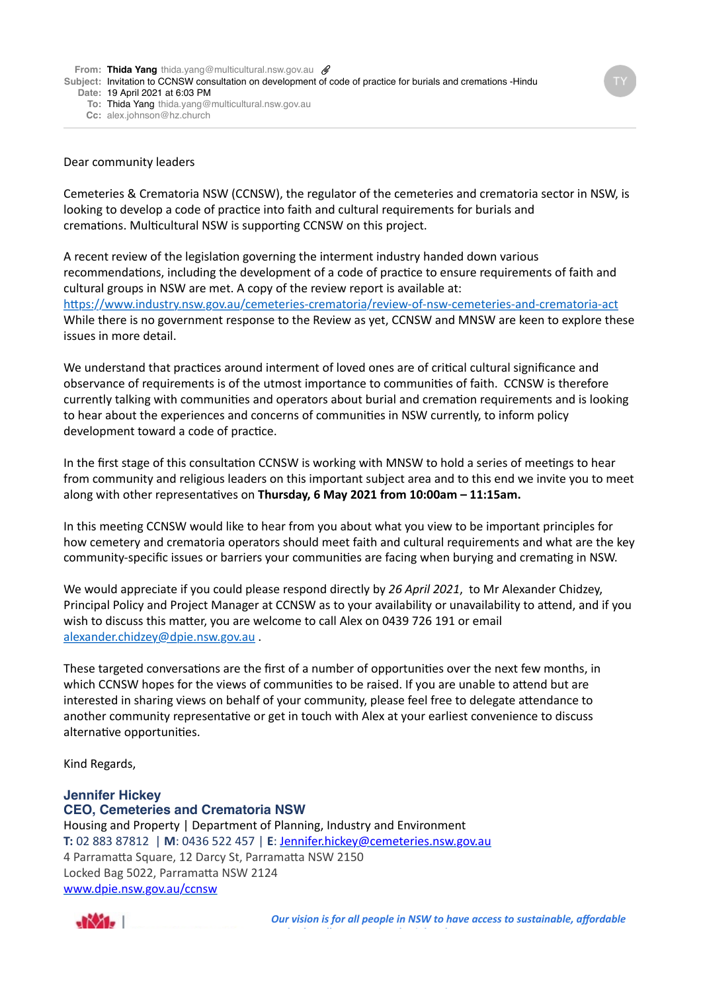**From: Thida Yang** thida.yang@multicultural.nsw.gov.au **@** 

**Subject:** Invitation to CCNSW consultation on development of code of practice for burials and cremations -Hindu

- **Date:** 19 April 2021 at 6:03 PM
	- **To:** Thida Yang thida.yang@multicultural.nsw.gov.au
	- **Cc:** alex.johnson@hz.church

## Dear community leaders

Cemeteries & Crematoria NSW (CCNSW), the regulator of the cemeteries and crematoria sector in NSW, is looking to develop a code of practice into faith and cultural requirements for burials and cremations. Multicultural NSW is supporting CCNSW on this project.

A recent review of the legislation governing the interment industry handed down various recommendations, including the development of a code of practice to ensure requirements of faith and cultural groups in NSW are met. A copy of the review report is available at: https://www.industry.nsw.gov.au/cemeteries-crematoria/review-of-nsw-cemeteries-and-crematoria-act While there is no government response to the Review as yet. CCNSW and MNSW are keen to explore these issues in more detail.

We understand that practices around interment of loved ones are of critical cultural significance and observance of requirements is of the utmost importance to communities of faith. CCNSW is therefore currently talking with communities and operators about burial and cremation requirements and is looking to hear about the experiences and concerns of communities in NSW currently, to inform policy development toward a code of practice.

In the first stage of this consultation CCNSW is working with MNSW to hold a series of meetings to hear from community and religious leaders on this important subject area and to this end we invite you to meet along with other representatives on Thursday, 6 May 2021 from 10:00am - 11:15am.

In this meeting CCNSW would like to hear from you about what you view to be important principles for how cemetery and crematoria operators should meet faith and cultural requirements and what are the key community-specific issues or barriers your communities are facing when burying and cremating in NSW.

We would appreciate if you could please respond directly by 26 April 2021, to Mr Alexander Chidzey, Principal Policy and Project Manager at CCNSW as to your availability or unavailability to attend, and if you wish to discuss this matter, you are welcome to call Alex on 0439 726 191 or email alexander.chidzey@dpie.nsw.gov.au.

These targeted conversations are the first of a number of opportunities over the next few months, in which CCNSW hopes for the views of communities to be raised. If you are unable to attend but are interested in sharing views on behalf of your community, please feel free to delegate attendance to another community representative or get in touch with Alex at your earliest convenience to discuss alternative opportunities.

Kind Regards,

## **Jennifer Hickey CEO, Cemeteries and Crematoria NSW**

Housing and Property | Department of Planning, Industry and Environment **T:** 02 883 87812 | M: 0436 522 457 | E: Jennifer.hickey@cemeteries.nsw.gov.au 4 Parramatta Square, 12 Darcy St, Parramatta NSW 2150 Locked Bag 5022, Parramatta NSW 2124 [www.dpie.nsw.gov.au/ccnsw](http://www.dpie.nsw.gov.au/ccnsw)